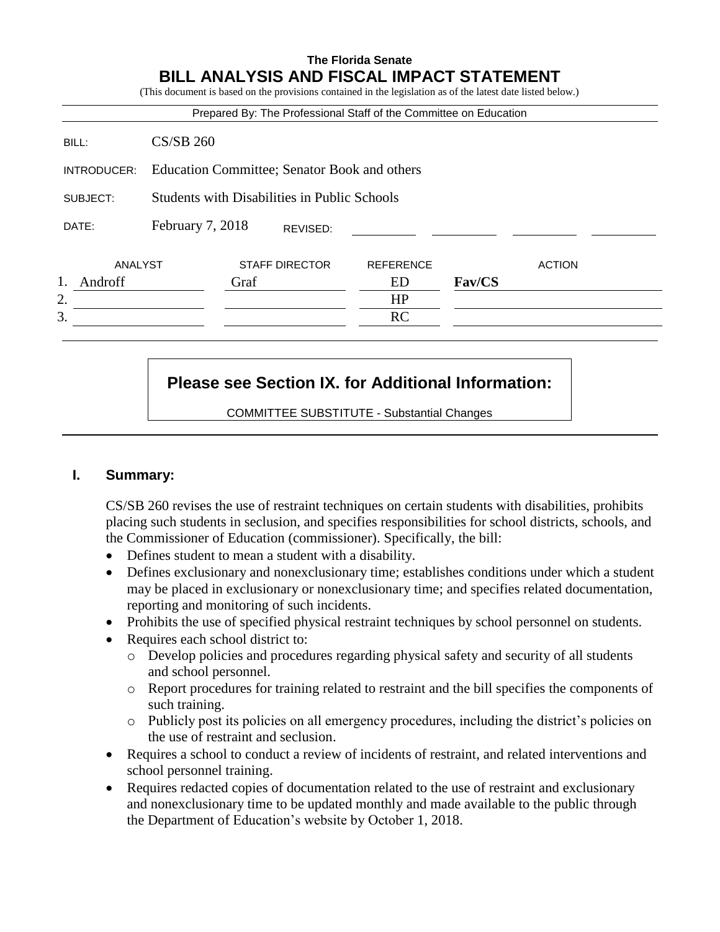## **The Florida Senate BILL ANALYSIS AND FISCAL IMPACT STATEMENT**

(This document is based on the provisions contained in the legislation as of the latest date listed below.) Prepared By: The Professional Staff of the Committee on Education BILL: CS/SB 260 INTRODUCER: Education Committee; Senator Book and others SUBJECT: Students with Disabilities in Public Schools DATE: February 7, 2018 ANALYST STAFF DIRECTOR REFERENCE ACTION 1. Androff Graf ED **Fav/CS**  $2.$  HP  $3.$  RC REVISED:

# **Please see Section IX. for Additional Information:**

COMMITTEE SUBSTITUTE - Substantial Changes

## **I. Summary:**

CS/SB 260 revises the use of restraint techniques on certain students with disabilities, prohibits placing such students in seclusion, and specifies responsibilities for school districts, schools, and the Commissioner of Education (commissioner). Specifically, the bill:

- Defines student to mean a student with a disability.
- Defines exclusionary and nonexclusionary time; establishes conditions under which a student may be placed in exclusionary or nonexclusionary time; and specifies related documentation, reporting and monitoring of such incidents.
- Prohibits the use of specified physical restraint techniques by school personnel on students.
- Requires each school district to:
	- o Develop policies and procedures regarding physical safety and security of all students and school personnel.
	- o Report procedures for training related to restraint and the bill specifies the components of such training.
	- o Publicly post its policies on all emergency procedures, including the district's policies on the use of restraint and seclusion.
- Requires a school to conduct a review of incidents of restraint, and related interventions and school personnel training.
- Requires redacted copies of documentation related to the use of restraint and exclusionary and nonexclusionary time to be updated monthly and made available to the public through the Department of Education's website by October 1, 2018.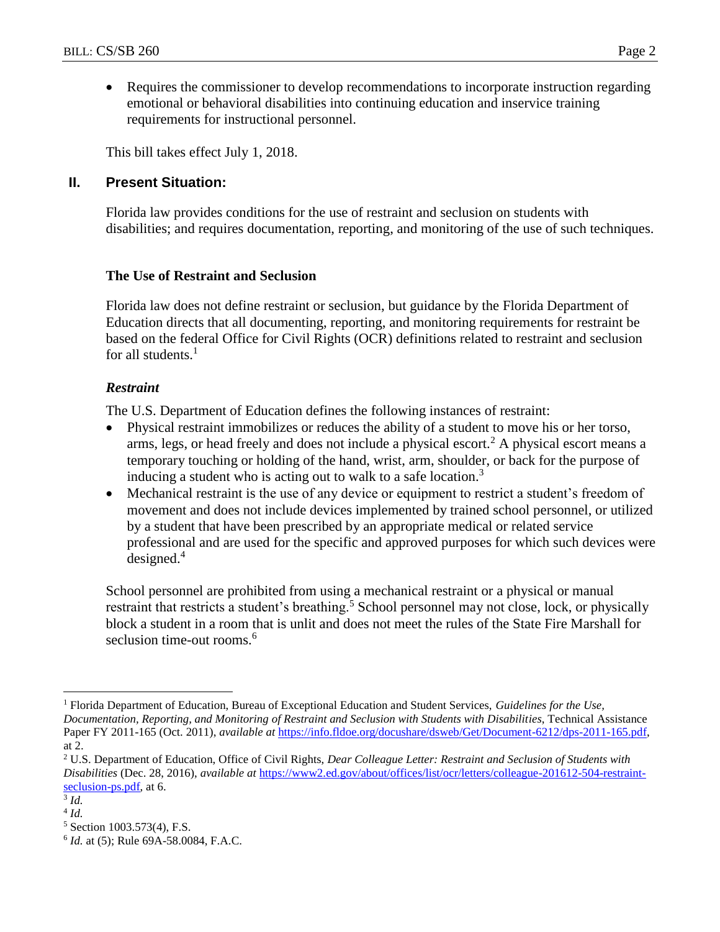• Requires the commissioner to develop recommendations to incorporate instruction regarding emotional or behavioral disabilities into continuing education and inservice training requirements for instructional personnel.

This bill takes effect July 1, 2018.

## **II. Present Situation:**

Florida law provides conditions for the use of restraint and seclusion on students with disabilities; and requires documentation, reporting, and monitoring of the use of such techniques.

## **The Use of Restraint and Seclusion**

Florida law does not define restraint or seclusion, but guidance by the Florida Department of Education directs that all documenting, reporting, and monitoring requirements for restraint be based on the federal Office for Civil Rights (OCR) definitions related to restraint and seclusion for all students. $<sup>1</sup>$ </sup>

## *Restraint*

The U.S. Department of Education defines the following instances of restraint:

- Physical restraint immobilizes or reduces the ability of a student to move his or her torso, arms, legs, or head freely and does not include a physical escort.<sup>2</sup> A physical escort means a temporary touching or holding of the hand, wrist, arm, shoulder, or back for the purpose of inducing a student who is acting out to walk to a safe location.<sup>3</sup>
- Mechanical restraint is the use of any device or equipment to restrict a student's freedom of movement and does not include devices implemented by trained school personnel, or utilized by a student that have been prescribed by an appropriate medical or related service professional and are used for the specific and approved purposes for which such devices were designed.<sup>4</sup>

School personnel are prohibited from using a mechanical restraint or a physical or manual restraint that restricts a student's breathing.<sup>5</sup> School personnel may not close, lock, or physically block a student in a room that is unlit and does not meet the rules of the State Fire Marshall for seclusion time-out rooms.<sup>6</sup>

 $\overline{a}$ 

<sup>1</sup> Florida Department of Education, Bureau of Exceptional Education and Student Services, *Guidelines for the Use, Documentation, Reporting, and Monitoring of Restraint and Seclusion with Students with Disabilities*, Technical Assistance Paper FY 2011-165 (Oct. 2011), *available at* [https://info.fldoe.org/docushare/dsweb/Get/Document-6212/dps-2011-165.pdf,](https://info.fldoe.org/docushare/dsweb/Get/Document-6212/dps-2011-165.pdf) at 2.

<sup>2</sup> U.S. Department of Education, Office of Civil Rights, *Dear Colleague Letter: Restraint and Seclusion of Students with Disabilities* (Dec. 28, 2016), *available at* [https://www2.ed.gov/about/offices/list/ocr/letters/colleague-201612-504-restraint](https://www2.ed.gov/about/offices/list/ocr/letters/colleague-201612-504-restraint-seclusion-ps.pdf)[seclusion-ps.pdf,](https://www2.ed.gov/about/offices/list/ocr/letters/colleague-201612-504-restraint-seclusion-ps.pdf) at 6.

<sup>3</sup> *Id.*

<sup>4</sup> *Id.*

<sup>5</sup> Section 1003.573(4), F.S.

<sup>6</sup> *Id.* at (5); Rule 69A-58.0084, F.A.C.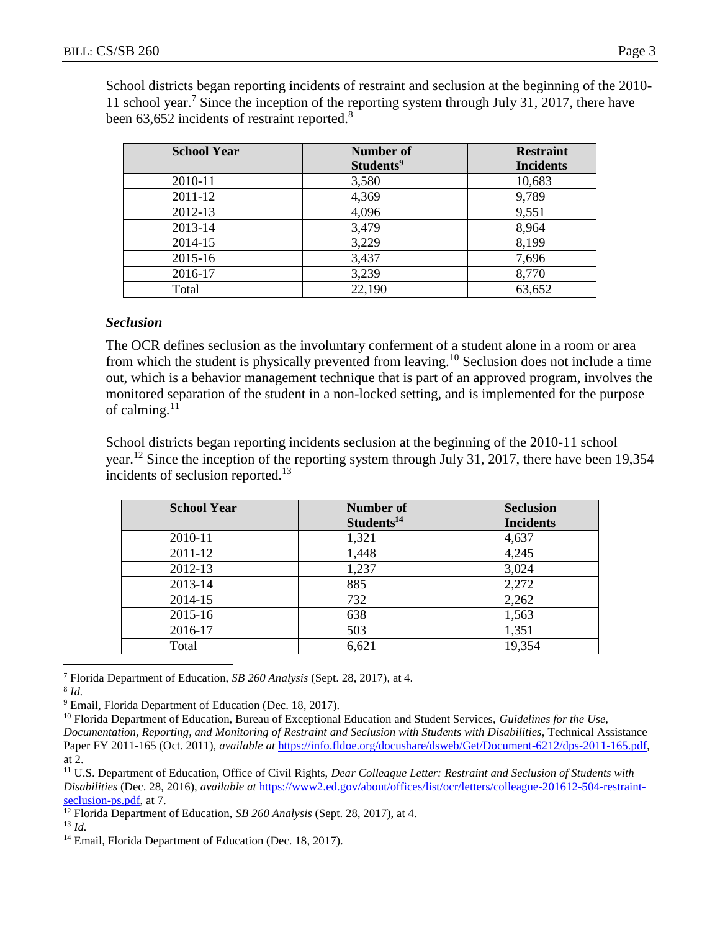School districts began reporting incidents of restraint and seclusion at the beginning of the 2010- 11 school year.<sup>7</sup> Since the inception of the reporting system through July 31, 2017, there have been 63,652 incidents of restraint reported.<sup>8</sup>

| <b>School Year</b> | Number of             | <b>Restraint</b> |
|--------------------|-----------------------|------------------|
|                    | Students <sup>9</sup> | <b>Incidents</b> |
| 2010-11            | 3,580                 | 10,683           |
| 2011-12            | 4,369                 | 9,789            |
| 2012-13            | 4,096                 | 9,551            |
| 2013-14            | 3,479                 | 8,964            |
| 2014-15            | 3,229                 | 8,199            |
| 2015-16            | 3,437                 | 7,696            |
| 2016-17            | 3,239                 | 8,770            |
| Total              | 22,190                | 63,652           |

#### *Seclusion*

The OCR defines seclusion as the involuntary conferment of a student alone in a room or area from which the student is physically prevented from leaving.<sup>10</sup> Seclusion does not include a time out, which is a behavior management technique that is part of an approved program, involves the monitored separation of the student in a non-locked setting, and is implemented for the purpose of calming. $^{11}$ 

School districts began reporting incidents seclusion at the beginning of the 2010-11 school year.<sup>12</sup> Since the inception of the reporting system through July 31, 2017, there have been 19,354 incidents of seclusion reported.<sup>13</sup>

| <b>School Year</b> | Number of<br>Students <sup>14</sup> | <b>Seclusion</b><br><b>Incidents</b> |
|--------------------|-------------------------------------|--------------------------------------|
| 2010-11            | 1,321                               | 4,637                                |
| 2011-12            | 1,448                               | 4,245                                |
| 2012-13            | 1,237                               | 3,024                                |
| 2013-14            | 885                                 | 2,272                                |
| 2014-15            | 732                                 | 2,262                                |
| 2015-16            | 638                                 | 1,563                                |
| 2016-17            | 503                                 | 1,351                                |
| Total              | 6,621                               | 19,354                               |
|                    |                                     |                                      |

 $\overline{a}$ <sup>7</sup> Florida Department of Education, *SB 260 Analysis* (Sept. 28, 2017), at 4.

<sup>9</sup> Email, Florida Department of Education (Dec. 18, 2017).

<sup>10</sup> Florida Department of Education, Bureau of Exceptional Education and Student Services, *Guidelines for the Use*,

*Documentation, Reporting, and Monitoring of Restraint and Seclusion with Students with Disabilities*, Technical Assistance Paper FY 2011-165 (Oct. 2011), *available at* [https://info.fldoe.org/docushare/dsweb/Get/Document-6212/dps-2011-165.pdf,](https://info.fldoe.org/docushare/dsweb/Get/Document-6212/dps-2011-165.pdf) at 2.

<sup>11</sup> U.S. Department of Education, Office of Civil Rights, *Dear Colleague Letter: Restraint and Seclusion of Students with Disabilities* (Dec. 28, 2016), *available at* [https://www2.ed.gov/about/offices/list/ocr/letters/colleague-201612-504-restraint](https://www2.ed.gov/about/offices/list/ocr/letters/colleague-201612-504-restraint-seclusion-ps.pdf)[seclusion-ps.pdf,](https://www2.ed.gov/about/offices/list/ocr/letters/colleague-201612-504-restraint-seclusion-ps.pdf) at 7.

<sup>12</sup> Florida Department of Education, *SB 260 Analysis* (Sept. 28, 2017), at 4.

<sup>13</sup> *Id.*

<sup>14</sup> Email, Florida Department of Education (Dec. 18, 2017).

<sup>8</sup> *Id.*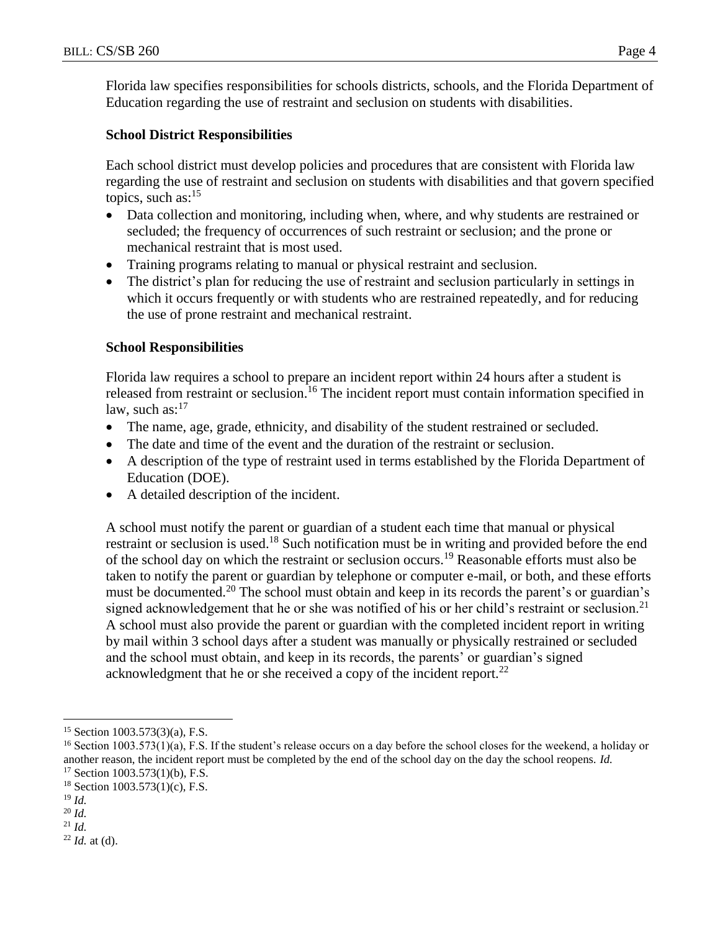Florida law specifies responsibilities for schools districts, schools, and the Florida Department of Education regarding the use of restraint and seclusion on students with disabilities.

## **School District Responsibilities**

Each school district must develop policies and procedures that are consistent with Florida law regarding the use of restraint and seclusion on students with disabilities and that govern specified topics, such as:<sup>15</sup>

- Data collection and monitoring, including when, where, and why students are restrained or secluded; the frequency of occurrences of such restraint or seclusion; and the prone or mechanical restraint that is most used.
- Training programs relating to manual or physical restraint and seclusion.
- The district's plan for reducing the use of restraint and seclusion particularly in settings in which it occurs frequently or with students who are restrained repeatedly, and for reducing the use of prone restraint and mechanical restraint.

## **School Responsibilities**

Florida law requires a school to prepare an incident report within 24 hours after a student is released from restraint or seclusion.<sup>16</sup> The incident report must contain information specified in law, such as: $17$ 

- The name, age, grade, ethnicity, and disability of the student restrained or secluded.
- The date and time of the event and the duration of the restraint or seclusion.
- A description of the type of restraint used in terms established by the Florida Department of Education (DOE).
- A detailed description of the incident.

A school must notify the parent or guardian of a student each time that manual or physical restraint or seclusion is used.<sup>18</sup> Such notification must be in writing and provided before the end of the school day on which the restraint or seclusion occurs.<sup>19</sup> Reasonable efforts must also be taken to notify the parent or guardian by telephone or computer e-mail, or both, and these efforts must be documented.<sup>20</sup> The school must obtain and keep in its records the parent's or guardian's signed acknowledgement that he or she was notified of his or her child's restraint or seclusion.<sup>21</sup> A school must also provide the parent or guardian with the completed incident report in writing by mail within 3 school days after a student was manually or physically restrained or secluded and the school must obtain, and keep in its records, the parents' or guardian's signed acknowledgment that he or she received a copy of the incident report.<sup>22</sup>

 $\overline{a}$ 

<sup>22</sup> *Id.* at (d).

<sup>15</sup> Section 1003.573(3)(a), F.S.

<sup>&</sup>lt;sup>16</sup> Section 1003.573(1)(a), F.S. If the student's release occurs on a day before the school closes for the weekend, a holiday or another reason, the incident report must be completed by the end of the school day on the day the school reopens. *Id.*  $17$  Section 1003.573(1)(b), F.S.

 $18$  Section 1003.573(1)(c), F.S.

<sup>19</sup> *Id.*

<sup>20</sup> *Id.*

<sup>21</sup> *Id.*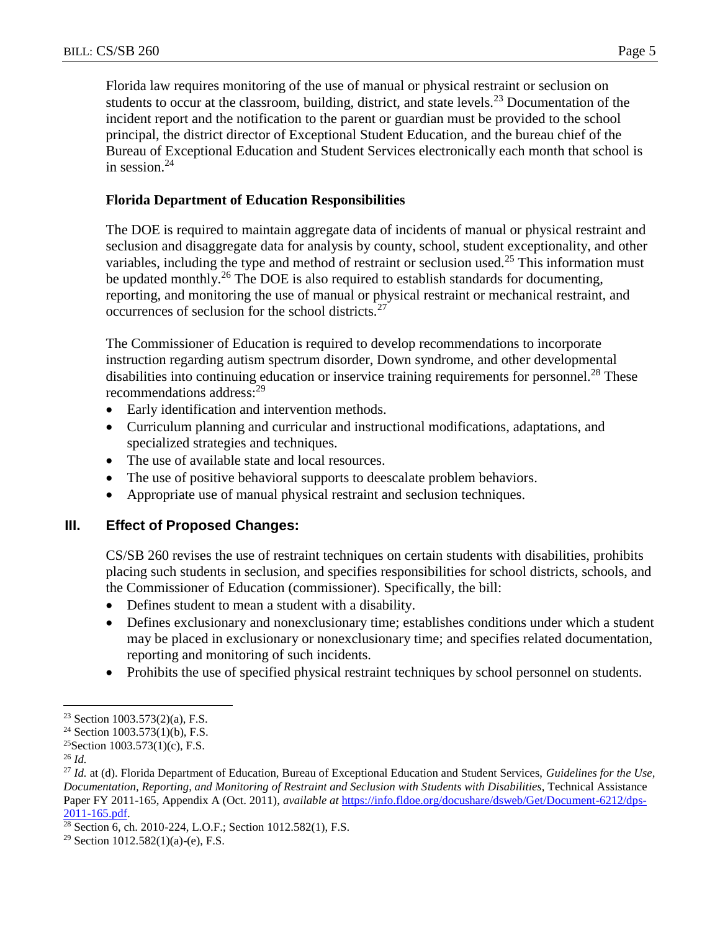Florida law requires monitoring of the use of manual or physical restraint or seclusion on students to occur at the classroom, building, district, and state levels.<sup>23</sup> Documentation of the incident report and the notification to the parent or guardian must be provided to the school principal, the district director of Exceptional Student Education, and the bureau chief of the Bureau of Exceptional Education and Student Services electronically each month that school is in session. $24$ 

## **Florida Department of Education Responsibilities**

The DOE is required to maintain aggregate data of incidents of manual or physical restraint and seclusion and disaggregate data for analysis by county, school, student exceptionality, and other variables, including the type and method of restraint or seclusion used.<sup>25</sup> This information must be updated monthly.<sup>26</sup> The DOE is also required to establish standards for documenting, reporting, and monitoring the use of manual or physical restraint or mechanical restraint, and occurrences of seclusion for the school districts.<sup>27</sup>

The Commissioner of Education is required to develop recommendations to incorporate instruction regarding autism spectrum disorder, Down syndrome, and other developmental disabilities into continuing education or inservice training requirements for personnel.<sup>28</sup> These recommendations address:<sup>29</sup>

- Early identification and intervention methods.
- Curriculum planning and curricular and instructional modifications, adaptations, and specialized strategies and techniques.
- The use of available state and local resources.
- The use of positive behavioral supports to deescalate problem behaviors.
- Appropriate use of manual physical restraint and seclusion techniques.

## **III. Effect of Proposed Changes:**

CS/SB 260 revises the use of restraint techniques on certain students with disabilities, prohibits placing such students in seclusion, and specifies responsibilities for school districts, schools, and the Commissioner of Education (commissioner). Specifically, the bill:

- Defines student to mean a student with a disability.
- Defines exclusionary and nonexclusionary time; establishes conditions under which a student may be placed in exclusionary or nonexclusionary time; and specifies related documentation, reporting and monitoring of such incidents.
- Prohibits the use of specified physical restraint techniques by school personnel on students.

 $\overline{a}$ <sup>23</sup> Section 1003.573(2)(a), F.S.

 $24$  Section 1003.573(1)(b), F.S.

<sup>&</sup>lt;sup>25</sup>Section 1003.573(1)(c), F.S.

<sup>26</sup> *Id.*

<sup>27</sup> *Id.* at (d). Florida Department of Education, Bureau of Exceptional Education and Student Services, *Guidelines for the Use, Documentation, Reporting, and Monitoring of Restraint and Seclusion with Students with Disabilities*, Technical Assistance Paper FY 2011-165, Appendix A (Oct. 2011), *available at* [https://info.fldoe.org/docushare/dsweb/Get/Document-6212/dps-](https://info.fldoe.org/docushare/dsweb/Get/Document-6212/dps-2011-165.pdf)[2011-165.pdf.](https://info.fldoe.org/docushare/dsweb/Get/Document-6212/dps-2011-165.pdf)

<sup>28</sup> Section 6, ch. 2010-224, L.O.F.; Section 1012.582(1), F.S.

<sup>&</sup>lt;sup>29</sup> Section 1012.582(1)(a)-(e), F.S.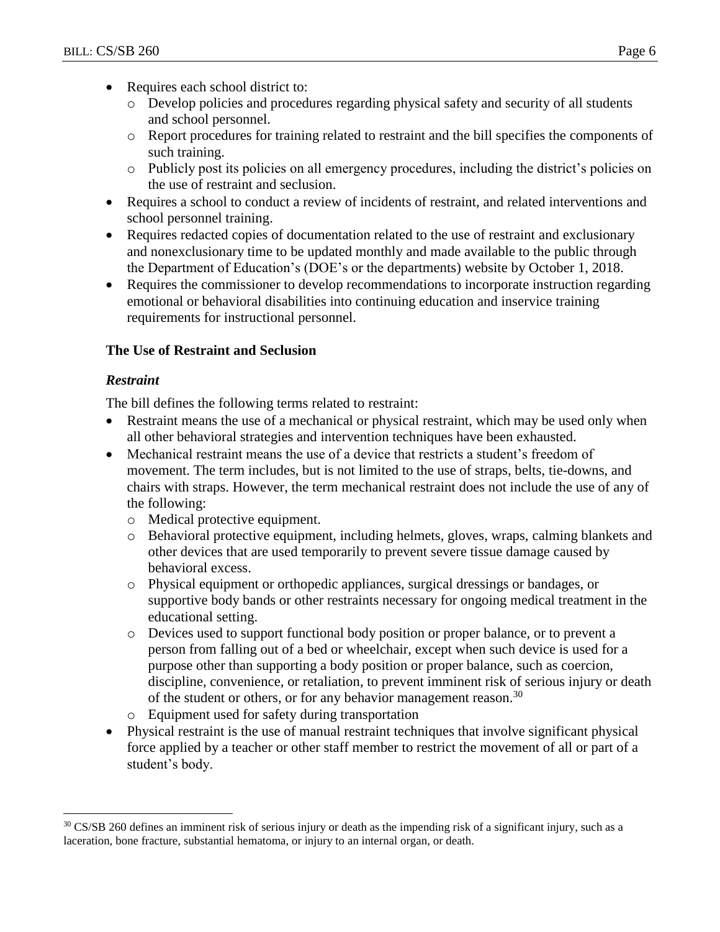- Requires each school district to:
	- o Develop policies and procedures regarding physical safety and security of all students and school personnel.
	- o Report procedures for training related to restraint and the bill specifies the components of such training.
	- o Publicly post its policies on all emergency procedures, including the district's policies on the use of restraint and seclusion.
- Requires a school to conduct a review of incidents of restraint, and related interventions and school personnel training.
- Requires redacted copies of documentation related to the use of restraint and exclusionary and nonexclusionary time to be updated monthly and made available to the public through the Department of Education's (DOE's or the departments) website by October 1, 2018.
- Requires the commissioner to develop recommendations to incorporate instruction regarding emotional or behavioral disabilities into continuing education and inservice training requirements for instructional personnel.

## **The Use of Restraint and Seclusion**

## *Restraint*

 $\overline{a}$ 

The bill defines the following terms related to restraint:

- Restraint means the use of a mechanical or physical restraint, which may be used only when all other behavioral strategies and intervention techniques have been exhausted.
- Mechanical restraint means the use of a device that restricts a student's freedom of movement. The term includes, but is not limited to the use of straps, belts, tie-downs, and chairs with straps. However, the term mechanical restraint does not include the use of any of the following:
	- o Medical protective equipment.
	- o Behavioral protective equipment, including helmets, gloves, wraps, calming blankets and other devices that are used temporarily to prevent severe tissue damage caused by behavioral excess.
	- o Physical equipment or orthopedic appliances, surgical dressings or bandages, or supportive body bands or other restraints necessary for ongoing medical treatment in the educational setting.
	- o Devices used to support functional body position or proper balance, or to prevent a person from falling out of a bed or wheelchair, except when such device is used for a purpose other than supporting a body position or proper balance, such as coercion, discipline, convenience, or retaliation, to prevent imminent risk of serious injury or death of the student or others, or for any behavior management reason.<sup>30</sup>
	- o Equipment used for safety during transportation
- Physical restraint is the use of manual restraint techniques that involve significant physical force applied by a teacher or other staff member to restrict the movement of all or part of a student's body.

<sup>&</sup>lt;sup>30</sup> CS/SB 260 defines an imminent risk of serious injury or death as the impending risk of a significant injury, such as a laceration, bone fracture, substantial hematoma, or injury to an internal organ, or death.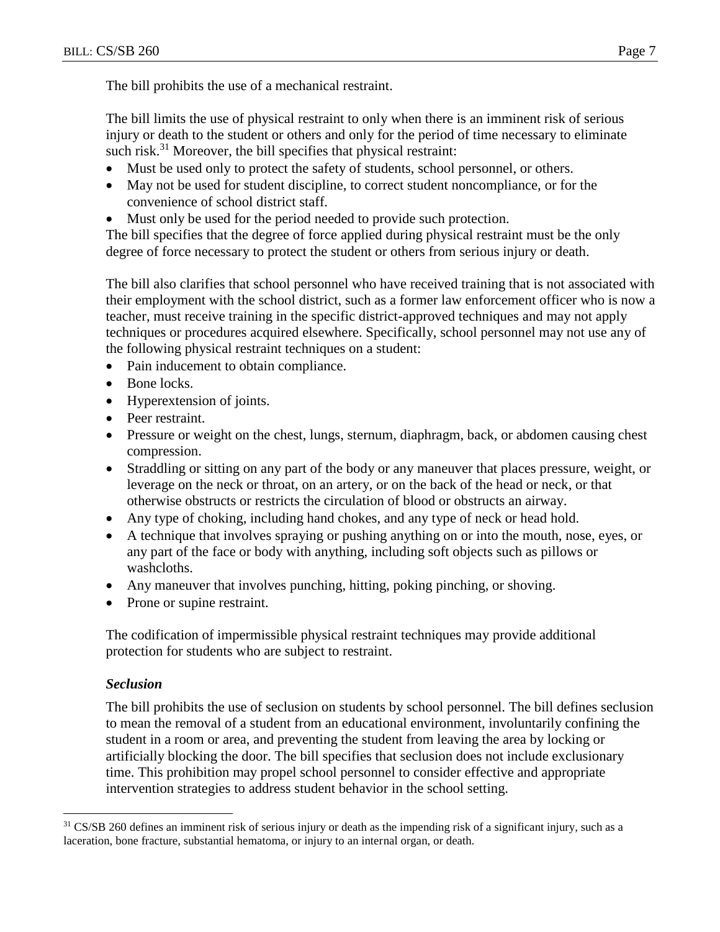The bill limits the use of physical restraint to only when there is an imminent risk of serious injury or death to the student or others and only for the period of time necessary to eliminate such risk.<sup>31</sup> Moreover, the bill specifies that physical restraint:

- Must be used only to protect the safety of students, school personnel, or others.
- May not be used for student discipline, to correct student noncompliance, or for the convenience of school district staff.
- Must only be used for the period needed to provide such protection.

The bill specifies that the degree of force applied during physical restraint must be the only degree of force necessary to protect the student or others from serious injury or death.

The bill also clarifies that school personnel who have received training that is not associated with their employment with the school district, such as a former law enforcement officer who is now a teacher, must receive training in the specific district-approved techniques and may not apply techniques or procedures acquired elsewhere. Specifically, school personnel may not use any of the following physical restraint techniques on a student:

- Pain inducement to obtain compliance.
- Bone locks.
- Hyperextension of joints.
- Peer restraint.
- Pressure or weight on the chest, lungs, sternum, diaphragm, back, or abdomen causing chest compression.
- Straddling or sitting on any part of the body or any maneuver that places pressure, weight, or leverage on the neck or throat, on an artery, or on the back of the head or neck, or that otherwise obstructs or restricts the circulation of blood or obstructs an airway.
- Any type of choking, including hand chokes, and any type of neck or head hold.
- A technique that involves spraying or pushing anything on or into the mouth, nose, eyes, or any part of the face or body with anything, including soft objects such as pillows or washcloths.
- Any maneuver that involves punching, hitting, poking pinching, or shoving.
- Prone or supine restraint.

The codification of impermissible physical restraint techniques may provide additional protection for students who are subject to restraint.

## *Seclusion*

 $\overline{a}$ 

The bill prohibits the use of seclusion on students by school personnel. The bill defines seclusion to mean the removal of a student from an educational environment, involuntarily confining the student in a room or area, and preventing the student from leaving the area by locking or artificially blocking the door. The bill specifies that seclusion does not include exclusionary time. This prohibition may propel school personnel to consider effective and appropriate intervention strategies to address student behavior in the school setting.

<sup>&</sup>lt;sup>31</sup> CS/SB 260 defines an imminent risk of serious injury or death as the impending risk of a significant injury, such as a laceration, bone fracture, substantial hematoma, or injury to an internal organ, or death.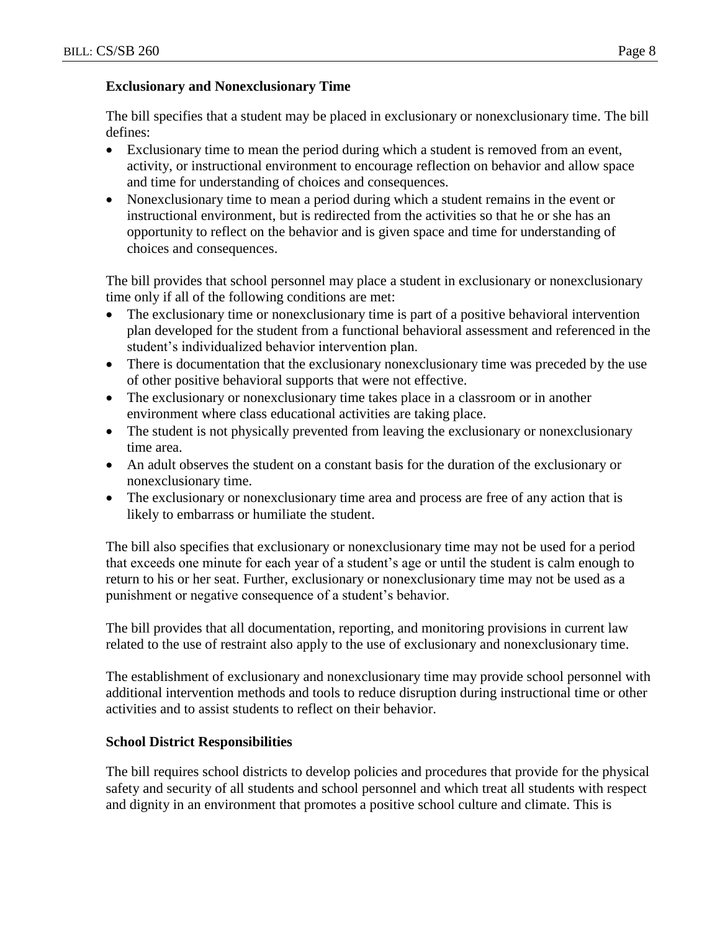The bill specifies that a student may be placed in exclusionary or nonexclusionary time. The bill defines:

- Exclusionary time to mean the period during which a student is removed from an event, activity, or instructional environment to encourage reflection on behavior and allow space and time for understanding of choices and consequences.
- Nonexclusionary time to mean a period during which a student remains in the event or instructional environment, but is redirected from the activities so that he or she has an opportunity to reflect on the behavior and is given space and time for understanding of choices and consequences.

The bill provides that school personnel may place a student in exclusionary or nonexclusionary time only if all of the following conditions are met:

- The exclusionary time or nonexclusionary time is part of a positive behavioral intervention plan developed for the student from a functional behavioral assessment and referenced in the student's individualized behavior intervention plan.
- There is documentation that the exclusionary nonexclusionary time was preceded by the use of other positive behavioral supports that were not effective.
- The exclusionary or nonexclusionary time takes place in a classroom or in another environment where class educational activities are taking place.
- The student is not physically prevented from leaving the exclusionary or nonexclusionary time area.
- An adult observes the student on a constant basis for the duration of the exclusionary or nonexclusionary time.
- The exclusionary or nonexclusionary time area and process are free of any action that is likely to embarrass or humiliate the student.

The bill also specifies that exclusionary or nonexclusionary time may not be used for a period that exceeds one minute for each year of a student's age or until the student is calm enough to return to his or her seat. Further, exclusionary or nonexclusionary time may not be used as a punishment or negative consequence of a student's behavior.

The bill provides that all documentation, reporting, and monitoring provisions in current law related to the use of restraint also apply to the use of exclusionary and nonexclusionary time.

The establishment of exclusionary and nonexclusionary time may provide school personnel with additional intervention methods and tools to reduce disruption during instructional time or other activities and to assist students to reflect on their behavior.

## **School District Responsibilities**

The bill requires school districts to develop policies and procedures that provide for the physical safety and security of all students and school personnel and which treat all students with respect and dignity in an environment that promotes a positive school culture and climate. This is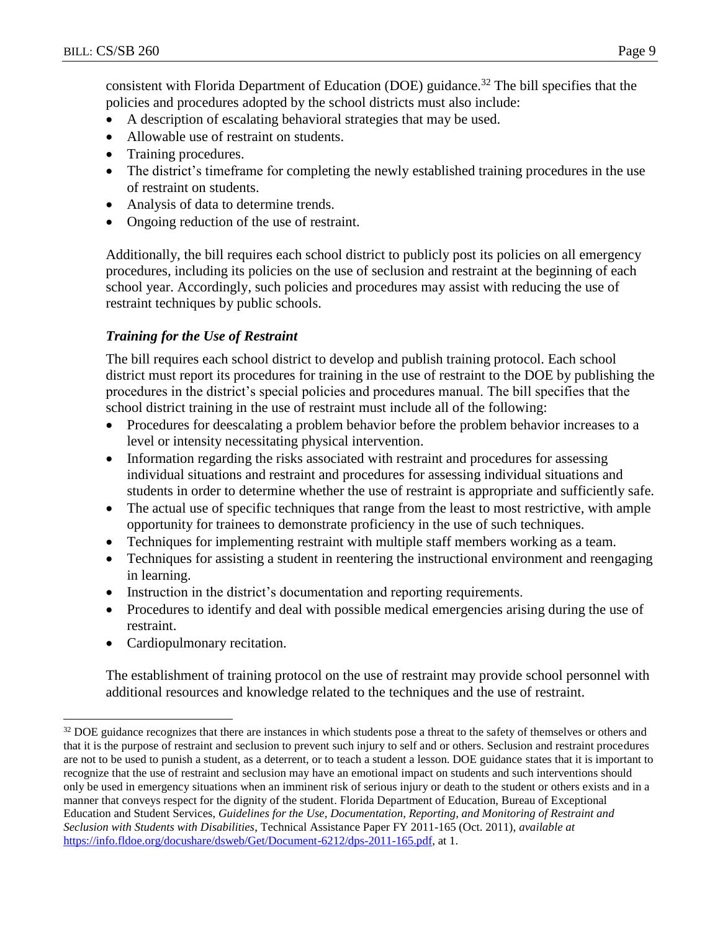consistent with Florida Department of Education (DOE) guidance.<sup>32</sup> The bill specifies that the policies and procedures adopted by the school districts must also include:

- A description of escalating behavioral strategies that may be used.
- Allowable use of restraint on students.
- Training procedures.
- The district's timeframe for completing the newly established training procedures in the use of restraint on students.
- Analysis of data to determine trends.
- Ongoing reduction of the use of restraint.

Additionally, the bill requires each school district to publicly post its policies on all emergency procedures, including its policies on the use of seclusion and restraint at the beginning of each school year. Accordingly, such policies and procedures may assist with reducing the use of restraint techniques by public schools.

## *Training for the Use of Restraint*

The bill requires each school district to develop and publish training protocol. Each school district must report its procedures for training in the use of restraint to the DOE by publishing the procedures in the district's special policies and procedures manual. The bill specifies that the school district training in the use of restraint must include all of the following:

- Procedures for deescalating a problem behavior before the problem behavior increases to a level or intensity necessitating physical intervention.
- Information regarding the risks associated with restraint and procedures for assessing individual situations and restraint and procedures for assessing individual situations and students in order to determine whether the use of restraint is appropriate and sufficiently safe.
- The actual use of specific techniques that range from the least to most restrictive, with ample opportunity for trainees to demonstrate proficiency in the use of such techniques.
- Techniques for implementing restraint with multiple staff members working as a team.
- Techniques for assisting a student in reentering the instructional environment and reengaging in learning.
- Instruction in the district's documentation and reporting requirements.
- Procedures to identify and deal with possible medical emergencies arising during the use of restraint.
- Cardiopulmonary recitation.

 $\overline{a}$ 

The establishment of training protocol on the use of restraint may provide school personnel with additional resources and knowledge related to the techniques and the use of restraint.

<sup>&</sup>lt;sup>32</sup> DOE guidance recognizes that there are instances in which students pose a threat to the safety of themselves or others and that it is the purpose of restraint and seclusion to prevent such injury to self and or others. Seclusion and restraint procedures are not to be used to punish a student, as a deterrent, or to teach a student a lesson. DOE guidance states that it is important to recognize that the use of restraint and seclusion may have an emotional impact on students and such interventions should only be used in emergency situations when an imminent risk of serious injury or death to the student or others exists and in a manner that conveys respect for the dignity of the student. Florida Department of Education, Bureau of Exceptional Education and Student Services, *Guidelines for the Use, Documentation, Reporting, and Monitoring of Restraint and Seclusion with Students with Disabilities*, Technical Assistance Paper FY 2011-165 (Oct. 2011), *available at* [https://info.fldoe.org/docushare/dsweb/Get/Document-6212/dps-2011-165.pdf,](https://info.fldoe.org/docushare/dsweb/Get/Document-6212/dps-2011-165.pdf) at 1.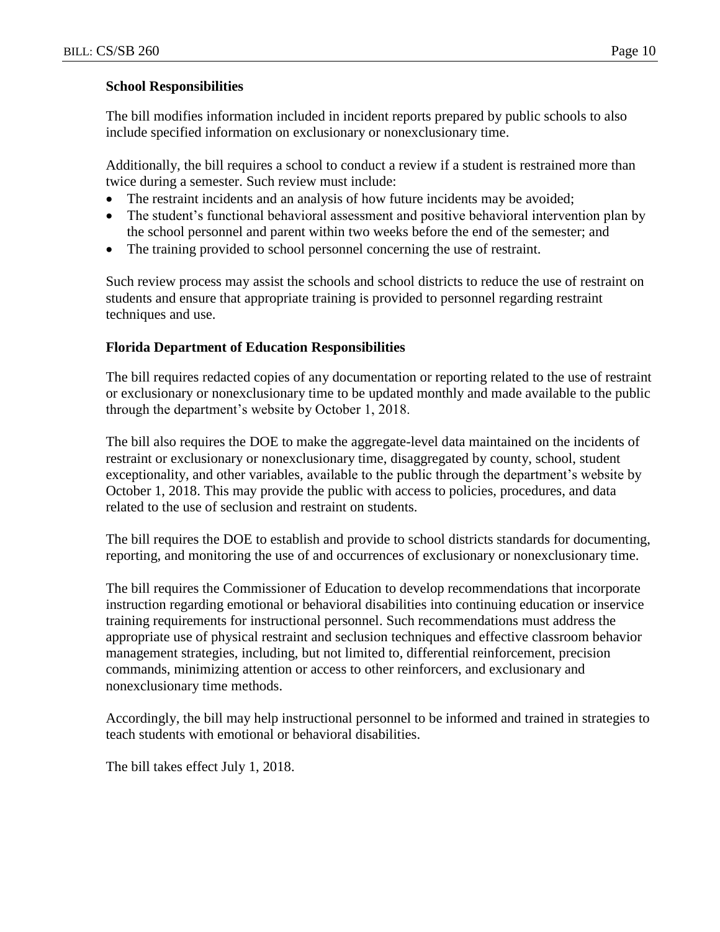#### **School Responsibilities**

The bill modifies information included in incident reports prepared by public schools to also include specified information on exclusionary or nonexclusionary time.

Additionally, the bill requires a school to conduct a review if a student is restrained more than twice during a semester. Such review must include:

- The restraint incidents and an analysis of how future incidents may be avoided;
- The student's functional behavioral assessment and positive behavioral intervention plan by the school personnel and parent within two weeks before the end of the semester; and
- The training provided to school personnel concerning the use of restraint.

Such review process may assist the schools and school districts to reduce the use of restraint on students and ensure that appropriate training is provided to personnel regarding restraint techniques and use.

#### **Florida Department of Education Responsibilities**

The bill requires redacted copies of any documentation or reporting related to the use of restraint or exclusionary or nonexclusionary time to be updated monthly and made available to the public through the department's website by October 1, 2018.

The bill also requires the DOE to make the aggregate-level data maintained on the incidents of restraint or exclusionary or nonexclusionary time, disaggregated by county, school, student exceptionality, and other variables, available to the public through the department's website by October 1, 2018. This may provide the public with access to policies, procedures, and data related to the use of seclusion and restraint on students.

The bill requires the DOE to establish and provide to school districts standards for documenting, reporting, and monitoring the use of and occurrences of exclusionary or nonexclusionary time.

The bill requires the Commissioner of Education to develop recommendations that incorporate instruction regarding emotional or behavioral disabilities into continuing education or inservice training requirements for instructional personnel. Such recommendations must address the appropriate use of physical restraint and seclusion techniques and effective classroom behavior management strategies, including, but not limited to, differential reinforcement, precision commands, minimizing attention or access to other reinforcers, and exclusionary and nonexclusionary time methods.

Accordingly, the bill may help instructional personnel to be informed and trained in strategies to teach students with emotional or behavioral disabilities.

The bill takes effect July 1, 2018.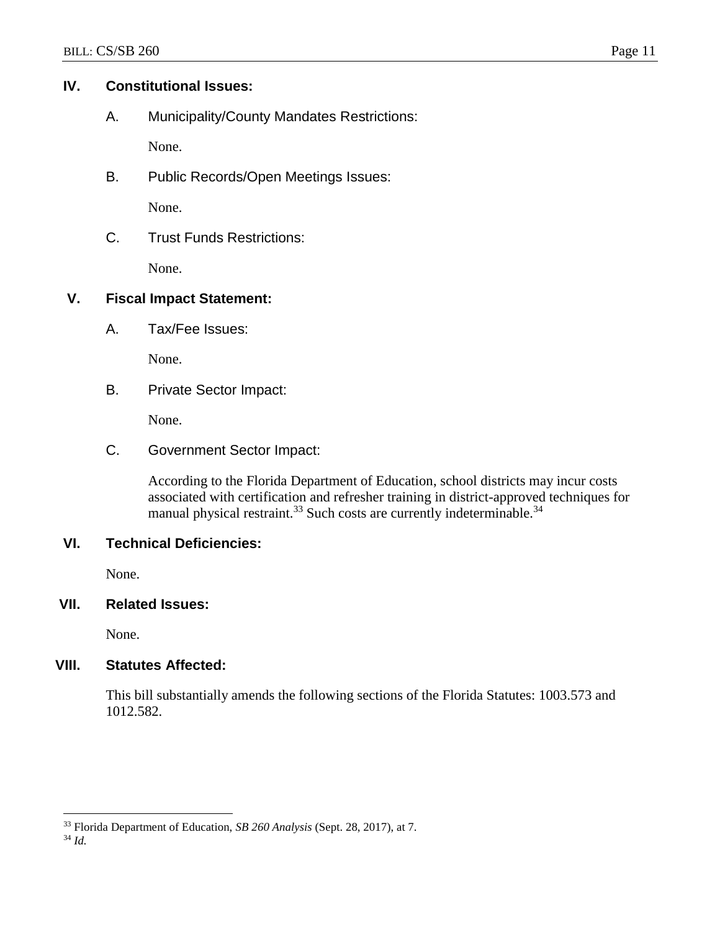#### **IV. Constitutional Issues:**

A. Municipality/County Mandates Restrictions:

None.

B. Public Records/Open Meetings Issues:

None.

C. Trust Funds Restrictions:

None.

## **V. Fiscal Impact Statement:**

A. Tax/Fee Issues:

None.

B. Private Sector Impact:

None.

C. Government Sector Impact:

According to the Florida Department of Education, school districts may incur costs associated with certification and refresher training in district-approved techniques for manual physical restraint.<sup>33</sup> Such costs are currently indeterminable.<sup>34</sup>

## **VI. Technical Deficiencies:**

None.

## **VII. Related Issues:**

None.

## **VIII. Statutes Affected:**

This bill substantially amends the following sections of the Florida Statutes: 1003.573 and 1012.582.

<sup>34</sup> *Id.*

 $\overline{a}$ 

<sup>33</sup> Florida Department of Education, *SB 260 Analysis* (Sept. 28, 2017), at 7.